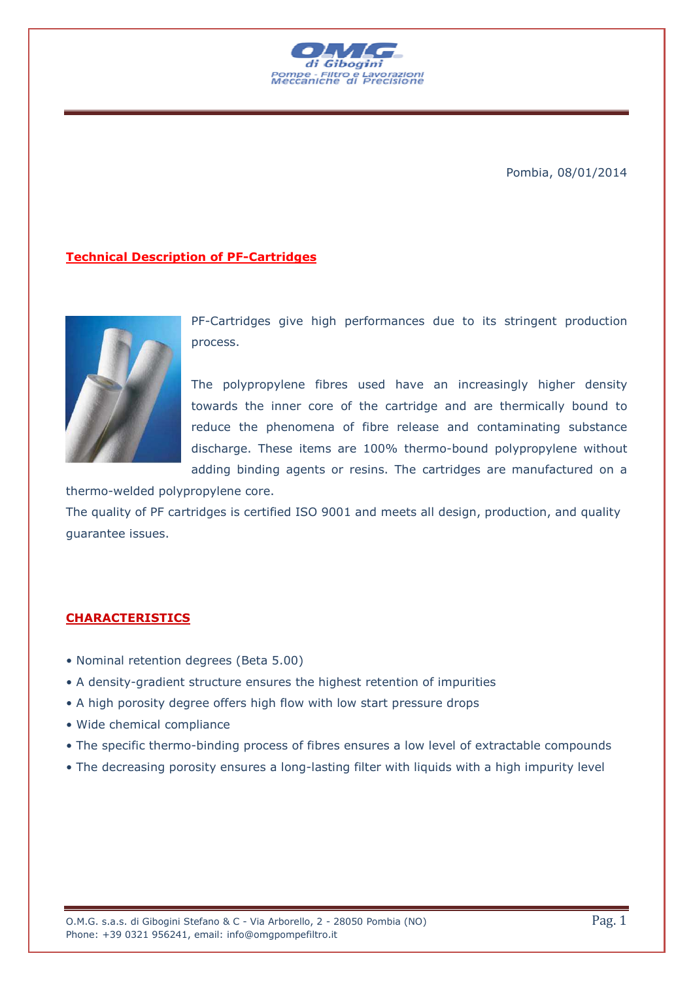

Pombia, 08/01/2014

## **Technical Description of PF-Cartridges**



PF-Cartridges give high performances due to its stringent production process.

The polypropylene fibres used have an increasingly higher density towards the inner core of the cartridge and are thermically bound to reduce the phenomena of fibre release and contaminating substance discharge. These items are 100% thermo-bound polypropylene without adding binding agents or resins. The cartridges are manufactured on a

thermo-welded polypropylene core. The quality of PF cartridges is certified ISO 9001 and meets all design, production, and quality guarantee issues.

## **CHARACTERISTICS**

- Nominal retention degrees (Beta 5.00)
- A density-gradient structure ensures the highest retention of impurities
- A high porosity degree offers high flow with low start pressure drops
- Wide chemical compliance
- The specific thermo-binding process of fibres ensures a low level of extractable compounds
- The decreasing porosity ensures a long-lasting filter with liquids with a high impurity level